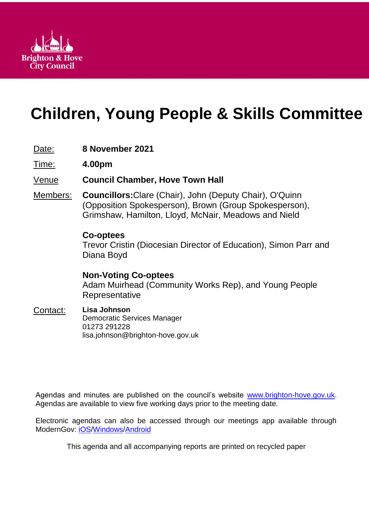

# **Children, Young People & Skills Committee**

# Date: **8 November 2021**

Time: **4.00pm**

# Venue **Council Chamber, Hove Town Hall**

Members: **Councillors:**Clare (Chair), John (Deputy Chair), O'Quinn (Opposition Spokesperson), Brown (Group Spokesperson), Grimshaw, Hamilton, Lloyd, McNair, Meadows and Nield

# **Co-optees**

Trevor Cristin (Diocesian Director of Education), Simon Parr and Diana Boyd

**Non-Voting Co-optees** Adam Muirhead (Community Works Rep), and Young People Representative

#### Contact: **Lisa Johnson** Democratic Services Manager 01273 291228 lisa.johnson@brighton-hove.gov.uk

Agendas and minutes are published on the council's website [www.brighton-hove.gov.uk.](http://www.brighton-hove.gov.uk/) Agendas are available to view five working days prior to the meeting date.

Electronic agendas can also be accessed through our meetings app available through ModernGov: [iOS](https://play.google.com/store/apps/details?id=uk.co.moderngov.modgov&hl=en_GB)[/Windows/](https://www.microsoft.com/en-gb/p/modgov/9nblggh0c7s7#activetab=pivot:overviewtab)[Android](https://play.google.com/store/apps/details?id=uk.co.moderngov.modgov&hl=en_GB)

This agenda and all accompanying reports are printed on recycled paper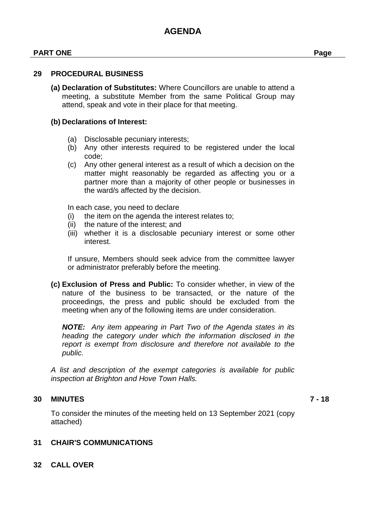### **PART ONE Page**

#### **29 PROCEDURAL BUSINESS**

**(a) Declaration of Substitutes:** Where Councillors are unable to attend a meeting, a substitute Member from the same Political Group may attend, speak and vote in their place for that meeting.

#### **(b) Declarations of Interest:**

- (a) Disclosable pecuniary interests;
- (b) Any other interests required to be registered under the local code;
- (c) Any other general interest as a result of which a decision on the matter might reasonably be regarded as affecting you or a partner more than a majority of other people or businesses in the ward/s affected by the decision.

In each case, you need to declare

- (i) the item on the agenda the interest relates to;
- (ii) the nature of the interest; and
- (iii) whether it is a disclosable pecuniary interest or some other interest.

If unsure, Members should seek advice from the committee lawyer or administrator preferably before the meeting.

**(c) Exclusion of Press and Public:** To consider whether, in view of the nature of the business to be transacted, or the nature of the proceedings, the press and public should be excluded from the meeting when any of the following items are under consideration.

*NOTE: Any item appearing in Part Two of the Agenda states in its heading the category under which the information disclosed in the report is exempt from disclosure and therefore not available to the public.*

*A list and description of the exempt categories is available for public inspection at Brighton and Hove Town Halls.*

#### **30 MINUTES 7 - 18**

To consider the minutes of the meeting held on 13 September 2021 (copy attached)

## **31 CHAIR'S COMMUNICATIONS**

**32 CALL OVER**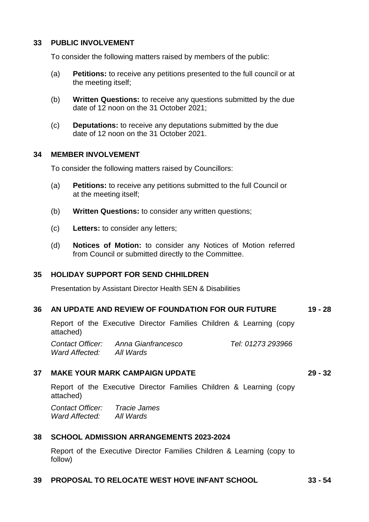#### **33 PUBLIC INVOLVEMENT**

To consider the following matters raised by members of the public:

- (a) **Petitions:** to receive any petitions presented to the full council or at the meeting itself;
- (b) **Written Questions:** to receive any questions submitted by the due date of 12 noon on the 31 October 2021;
- (c) **Deputations:** to receive any deputations submitted by the due date of 12 noon on the 31 October 2021.

#### **34 MEMBER INVOLVEMENT**

To consider the following matters raised by Councillors:

- (a) **Petitions:** to receive any petitions submitted to the full Council or at the meeting itself;
- (b) **Written Questions:** to consider any written questions;
- (c) **Letters:** to consider any letters;
- (d) **Notices of Motion:** to consider any Notices of Motion referred from Council or submitted directly to the Committee.

## **35 HOLIDAY SUPPORT FOR SEND CHHILDREN**

Presentation by Assistant Director Health SEN & Disabilities

#### **36 AN UPDATE AND REVIEW OF FOUNDATION FOR OUR FUTURE 19 - 28**

Report of the Executive Director Families Children & Learning (copy attached)

*Contact Officer: Anna Gianfrancesco Tel: 01273 293966 Ward Affected: All Wards*

## **37 MAKE YOUR MARK CAMPAIGN UPDATE 29 - 32**

Report of the Executive Director Families Children & Learning (copy attached)

*Contact Officer: Tracie James Ward Affected: All Wards*

## **38 SCHOOL ADMISSION ARRANGEMENTS 2023-2024**

Report of the Executive Director Families Children & Learning (copy to follow)

## **39 PROPOSAL TO RELOCATE WEST HOVE INFANT SCHOOL 33 - 54**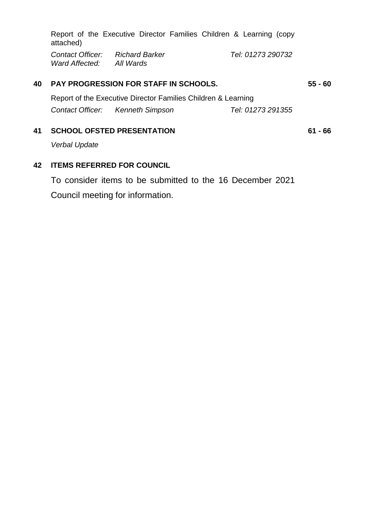|                                                    | Report of the Executive Director Families Children & Learning (copy<br>attached) |                                  |                   |           |  |
|----------------------------------------------------|----------------------------------------------------------------------------------|----------------------------------|-------------------|-----------|--|
|                                                    | Contact Officer:<br>Ward Affected: All Wards                                     | Richard Barker                   | Tel: 01273 290732 |           |  |
| <b>PAY PROGRESSION FOR STAFF IN SCHOOLS.</b><br>40 |                                                                                  |                                  |                   | $55 - 60$ |  |
|                                                    | Report of the Executive Director Families Children & Learning                    |                                  |                   |           |  |
|                                                    |                                                                                  | Contact Officer: Kenneth Simpson | Tel: 01273 291355 |           |  |
| 41                                                 | <b>SCHOOL OFSTED PRESENTATION</b>                                                |                                  |                   | 61 - 66   |  |
|                                                    | Narhal Hndata                                                                    |                                  |                   |           |  |

*Verbal Update* 

# **42 ITEMS REFERRED FOR COUNCIL**

To consider items to be submitted to the 16 December 2021 Council meeting for information.